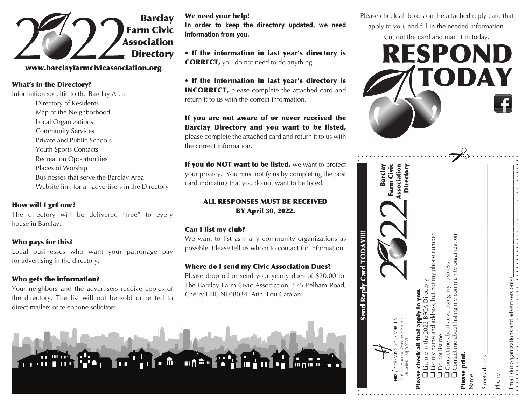

# www.barclayfarmcivicassociation.org

What's in the Directory?

Information specific to the Barclay Area: Directory of Residents Map of the Neighborhood Local Organizations Community Services Private and Public Schools Youth Sports Contacts Recreation Opportunities Places of Worship Businesses that serve the Barclay Area Website link for all advertisers in the Directory

# How will I get one?

The directory will be delivered "free" to every house in Barclay.

#### Who pays for this?

Local businesses who want your patronage pay for advertising in the directory.

#### Who gets the information?

Your neighbors and the advertisers receive copies of the directory. The list will not be sold or rented to direct mailers or telephone solicitors.

#### We need your help!

**In order to keep the directory updated, we need information from you.**

• If the information in last year's directory is CORRECT, you do not need to do anything.

• If the information in last year's directory is INCORRECT, please complete the attached card and return it to us with the correct information.

If you are not aware of or never received the Barclay Directory and you want to be listed, please complete the attached card and return it to us with the correct information.

If you do NOT want to be listed, we want to protect your privacy. You must notify us by completing the post card indicating that you do not want to be listed.

### ALL RESPONSES MUST BE RECEIVED BY April 30, 2022.

# Can I list my club?

We want to list as many community organizations as possible. Please tell us whom to contact for information.

#### Where do I send my Civic Association Dues?

Please drop off or send your yearly dues of \$20.00 to: The Barclay Farm Civic Association, 575 Pelham Road, Cherry Hill, NJ 08034 Attn: Lou Catalani.



Please check all boxes on the attached reply card that apply to you, and fill in the needed information.

Cut out the card and mail it in today.



| <b>Send Reply Card TODAY!!!!</b>                                                                                                                                       |
|------------------------------------------------------------------------------------------------------------------------------------------------------------------------|
| Farm Civic<br>Association<br>Barclay<br>II6 N. Haddon Avenue · Suite C<br>HBS / INCREASING YOUR VISBILITY                                                              |
| Directory<br>I List my name and address, but not my phone number<br>List me in the 2022 BFCA Directory<br>Please check all that apply to you.<br>Haddonfield, NJ 08033 |
| $\Box$ Contact me about listing my community organization<br>$\Box$ Contact me about advertising my business<br><b>Do not list me</b>                                  |
| Please print.<br>Name                                                                                                                                                  |
| Street address                                                                                                                                                         |
| Phone                                                                                                                                                                  |
| $Email$ (for organizations and advertisers only).                                                                                                                      |